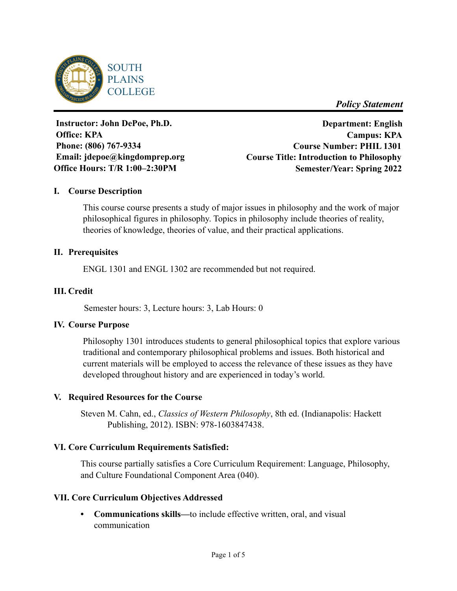

*Policy Statement*

Instructor: John DePoe, Ph.D. **Office: KPA** Phone: (806) 767-9334 Email: jdepoe@kingdomprep.org Office Hours: T/R 1:00-2:30PM

**Department: English Campus: KPA Course Number: PHIL 1301 Course Title: Introduction to Philosophy Semester/Year: Spring 2022**

## **I. Course Description**

This course course presents a study of major issues in philosophy and the work of major philosophical figures in philosophy. Topics in philosophy include theories of reality, theories of knowledge, theories of value, and their practical applications.

### **II. Prerequisites**

ENGL 1301 and ENGL 1302 are recommended but not required.

### **III. Credit**

Semester hours: 3, Lecture hours: 3, Lab Hours: 0

### **IV. Course Purpose**

Philosophy 1301 introduces students to general philosophical topics that explore various traditional and contemporary philosophical problems and issues. Both historical and current materials will be employed to access the relevance of these issues as they have developed throughout history and are experienced in today's world.

### **V. Required Resources for the Course**

Steven M. Cahn, ed., *Classics of Western Philosophy*, 8th ed. (Indianapolis: Hackett Publishing, 2012). ISBN: 978-1603847438.

### **VI. Core Curriculum Requirements Satisfied:**

This course partially satisfies a Core Curriculum Requirement: Language, Philosophy, and Culture Foundational Component Area (040).

### **VII. Core Curriculum Objectives Addressed**

**• Communications skills—**to include effective written, oral, and visual communication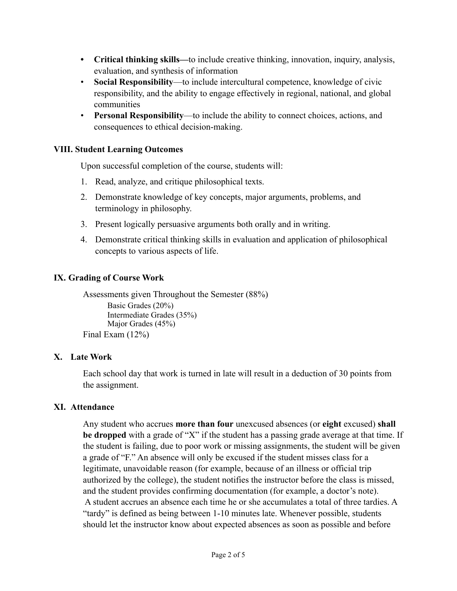- **• Critical thinking skills—**to include creative thinking, innovation, inquiry, analysis, evaluation, and synthesis of information
- **Social Responsibility**—to include intercultural competence, knowledge of civic responsibility, and the ability to engage effectively in regional, national, and global communities
- **Personal Responsibility**—to include the ability to connect choices, actions, and consequences to ethical decision-making.

## **VIII. Student Learning Outcomes**

Upon successful completion of the course, students will:

- 1. Read, analyze, and critique philosophical texts.
- 2. Demonstrate knowledge of key concepts, major arguments, problems, and terminology in philosophy.
- 3. Present logically persuasive arguments both orally and in writing.
- 4. Demonstrate critical thinking skills in evaluation and application of philosophical concepts to various aspects of life.

# **IX. Grading of Course Work**

Assessments given Throughout the Semester (88%) Basic Grades (20%) Intermediate Grades (35%) Major Grades (45%) Final Exam (12%)

# **X. Late Work**

Each school day that work is turned in late will result in a deduction of 30 points from the assignment.

### **XI. Attendance**

Any student who accrues **more than four** unexcused absences (or **eight** excused) **shall be dropped** with a grade of "X" if the student has a passing grade average at that time. If the student is failing, due to poor work or missing assignments, the student will be given a grade of "F." An absence will only be excused if the student misses class for a legitimate, unavoidable reason (for example, because of an illness or official trip authorized by the college), the student notifies the instructor before the class is missed, and the student provides confirming documentation (for example, a doctor's note). A student accrues an absence each time he or she accumulates a total of three tardies. A "tardy" is defined as being between 1-10 minutes late. Whenever possible, students should let the instructor know about expected absences as soon as possible and before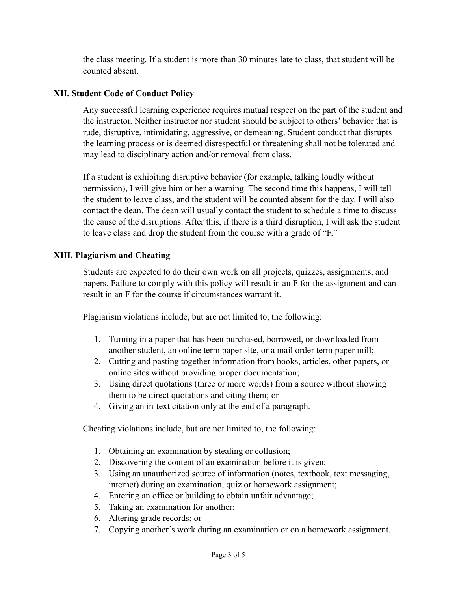the class meeting. If a student is more than 30 minutes late to class, that student will be counted absent.

### **XII. Student Code of Conduct Policy**

Any successful learning experience requires mutual respect on the part of the student and the instructor. Neither instructor nor student should be subject to others' behavior that is rude, disruptive, intimidating, aggressive, or demeaning. Student conduct that disrupts the learning process or is deemed disrespectful or threatening shall not be tolerated and may lead to disciplinary action and/or removal from class.

If a student is exhibiting disruptive behavior (for example, talking loudly without permission), I will give him or her a warning. The second time this happens, I will tell the student to leave class, and the student will be counted absent for the day. I will also contact the dean. The dean will usually contact the student to schedule a time to discuss the cause of the disruptions. After this, if there is a third disruption, I will ask the student to leave class and drop the student from the course with a grade of "F."

### **XIII. Plagiarism and Cheating**

Students are expected to do their own work on all projects, quizzes, assignments, and papers. Failure to comply with this policy will result in an F for the assignment and can result in an F for the course if circumstances warrant it.

Plagiarism violations include, but are not limited to, the following:

- 1. Turning in a paper that has been purchased, borrowed, or downloaded from another student, an online term paper site, or a mail order term paper mill;
- 2. Cutting and pasting together information from books, articles, other papers, or online sites without providing proper documentation;
- 3. Using direct quotations (three or more words) from a source without showing them to be direct quotations and citing them; or
- 4. Giving an in-text citation only at the end of a paragraph.

Cheating violations include, but are not limited to, the following:

- 1. Obtaining an examination by stealing or collusion;
- 2. Discovering the content of an examination before it is given;
- 3. Using an unauthorized source of information (notes, textbook, text messaging, internet) during an examination, quiz or homework assignment;
- 4. Entering an office or building to obtain unfair advantage;
- 5. Taking an examination for another;
- 6. Altering grade records; or
- 7. Copying another's work during an examination or on a homework assignment.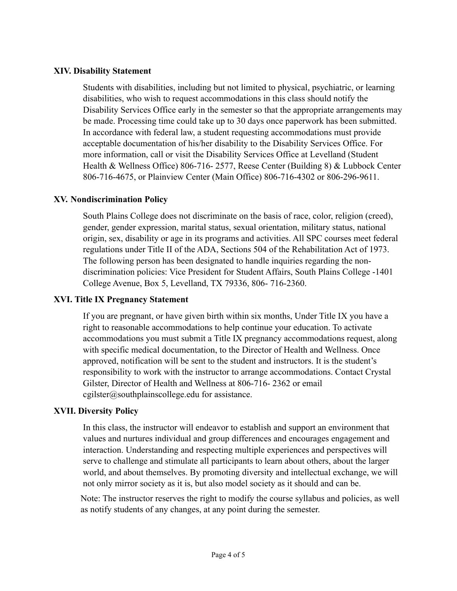#### **XIV. Disability Statement**

Students with disabilities, including but not limited to physical, psychiatric, or learning disabilities, who wish to request accommodations in this class should notify the Disability Services Office early in the semester so that the appropriate arrangements may be made. Processing time could take up to 30 days once paperwork has been submitted. In accordance with federal law, a student requesting accommodations must provide acceptable documentation of his/her disability to the Disability Services Office. For more information, call or visit the Disability Services Office at Levelland (Student Health & Wellness Office) 806-716- 2577, Reese Center (Building 8) & Lubbock Center 806-716-4675, or Plainview Center (Main Office) 806-716-4302 or 806-296-9611.

### **XV. Nondiscrimination Policy**

South Plains College does not discriminate on the basis of race, color, religion (creed), gender, gender expression, marital status, sexual orientation, military status, national origin, sex, disability or age in its programs and activities. All SPC courses meet federal regulations under Title II of the ADA, Sections 504 of the Rehabilitation Act of 1973. The following person has been designated to handle inquiries regarding the nondiscrimination policies: Vice President for Student Affairs, South Plains College -1401 College Avenue, Box 5, Levelland, TX 79336, 806- 716-2360.

### **XVI. Title IX Pregnancy Statement**

If you are pregnant, or have given birth within six months, Under Title IX you have a right to reasonable accommodations to help continue your education. To activate accommodations you must submit a Title IX pregnancy accommodations request, along with specific medical documentation, to the Director of Health and Wellness. Once approved, notification will be sent to the student and instructors. It is the student's responsibility to work with the instructor to arrange accommodations. Contact Crystal Gilster, Director of Health and Wellness at 806-716- 2362 or email cgilster@southplainscollege.edu for assistance.

### **XVII. Diversity Policy**

In this class, the instructor will endeavor to establish and support an environment that values and nurtures individual and group differences and encourages engagement and interaction. Understanding and respecting multiple experiences and perspectives will serve to challenge and stimulate all participants to learn about others, about the larger world, and about themselves. By promoting diversity and intellectual exchange, we will not only mirror society as it is, but also model society as it should and can be.

Note: The instructor reserves the right to modify the course syllabus and policies, as well as notify students of any changes, at any point during the semester.